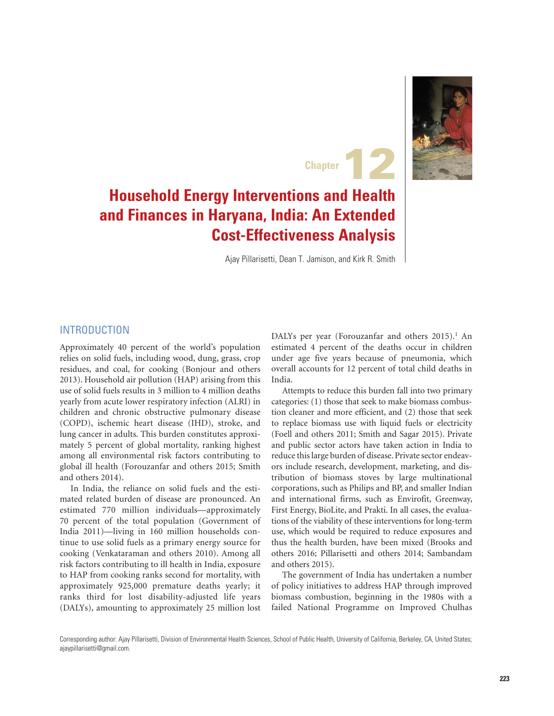## **Chapter**



# **Household Energy Interventions and Health and Finances in Haryana, India: An Extended Cost-Effectiveness Analysis**

Ajay Pillarisetti, Dean T. Jamison, and Kirk R. Smith

## **INTRODUCTION**

Approximately 40 percent of the world's population relies on solid fuels, including wood, dung, grass, crop residues, and coal, for cooking (Bonjour and others 2013). Household air pollution (HAP) arising from this use of solid fuels results in 3 million to 4 million deaths yearly from acute lower respiratory infection (ALRI) in children and chronic obstructive pulmonary disease (COPD), ischemic heart disease (IHD), stroke, and lung cancer in adults. This burden constitutes approximately 5 percent of global mortality, ranking highest among all environmental risk factors contributing to global ill health (Forouzanfar and others 2015; Smith and others 2014).

In India, the reliance on solid fuels and the estimated related burden of disease are pronounced. An estimated 770 million individuals—approximately 70 percent of the total population (Government of India 2011)—living in 160 million households continue to use solid fuels as a primary energy source for cooking (Venkataraman and others 2010). Among all risk factors contributing to ill health in India, exposure to HAP from cooking ranks second for mortality, with approximately 925,000 premature deaths yearly; it ranks third for lost disability-adjusted life years (DALYs), amounting to approximately 25 million lost

DALYs per year (Forouzanfar and others 2015).<sup>1</sup> An estimated 4 percent of the deaths occur in children under age five years because of pneumonia, which overall accounts for 12 percent of total child deaths in India.

Attempts to reduce this burden fall into two primary categories: (1) those that seek to make biomass combustion cleaner and more efficient, and (2) those that seek to replace biomass use with liquid fuels or electricity (Foell and others 2011; Smith and Sagar 2015). Private and public sector actors have taken action in India to reduce this large burden of disease. Private sector endeavors include research, development, marketing, and distribution of biomass stoves by large multinational corporations, such as Philips and BP, and smaller Indian and international firms, such as Envirofit, Greenway, First Energy, BioLite, and Prakti. In all cases, the evaluations of the viability of these interventions for long-term use, which would be required to reduce exposures and thus the health burden, have been mixed (Brooks and others 2016; Pillarisetti and others 2014; Sambandam and others 2015).

The government of India has undertaken a number of policy initiatives to address HAP through improved biomass combustion, beginning in the 1980s with a failed National Programme on Improved Chulhas

Corresponding author: Ajay Pillarisetti, Division of Environmental Health Sciences, School of Public Health, University of California, Berkeley, CA, United States; ajaypillarisetti@gmail.com.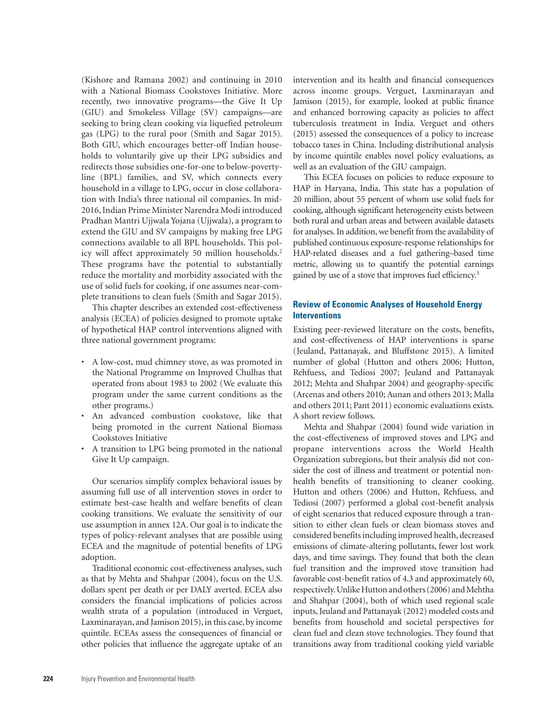(Kishore and Ramana 2002) and continuing in 2010 with a National Biomass Cookstoves Initiative. More recently, two innovative programs—the Give It Up (GIU) and Smokeless Village (SV) campaigns—are seeking to bring clean cooking via liquefied petroleum gas (LPG) to the rural poor (Smith and Sagar 2015). Both GIU, which encourages better-off Indian households to voluntarily give up their LPG subsidies and redirects those subsidies one-for-one to below-povertyline (BPL) families, and SV, which connects every household in a village to LPG, occur in close collaboration with India's three national oil companies. In mid-2016, Indian Prime Minister Narendra Modi introduced Pradhan Mantri Ujjwala Yojana (Ujjwala), a program to extend the GIU and SV campaigns by making free LPG connections available to all BPL households. This policy will affect approximately 50 million households.<sup>2</sup> These programs have the potential to substantially reduce the mortality and morbidity associated with the use of solid fuels for cooking, if one assumes near-complete transitions to clean fuels (Smith and Sagar 2015).

This chapter describes an extended cost-effectiveness analysis (ECEA) of policies designed to promote uptake of hypothetical HAP control interventions aligned with three national government programs:

- A low-cost, mud chimney stove, as was promoted in the National Programme on Improved Chulhas that operated from about 1983 to 2002 (We evaluate this program under the same current conditions as the other programs.)
- An advanced combustion cookstove, like that being promoted in the current National Biomass Cookstoves Initiative
- A transition to LPG being promoted in the national Give It Up campaign.

Our scenarios simplify complex behavioral issues by assuming full use of all intervention stoves in order to estimate best-case health and welfare benefits of clean cooking transitions. We evaluate the sensitivity of our use assumption in annex 12A. Our goal is to indicate the types of policy-relevant analyses that are possible using ECEA and the magnitude of potential benefits of LPG adoption.

Traditional economic cost-effectiveness analyses, such as that by Mehta and Shahpar (2004), focus on the U.S. dollars spent per death or per DALY averted. ECEA also considers the financial implications of policies across wealth strata of a population (introduced in Verguet, Laxminarayan, and Jamison 2015), in this case, by income quintile. ECEAs assess the consequences of financial or other policies that influence the aggregate uptake of an intervention and its health and financial consequences across income groups. Verguet, Laxminarayan and Jamison (2015), for example, looked at public finance and enhanced borrowing capacity as policies to affect tuberculosis treatment in India. Verguet and others (2015) assessed the consequences of a policy to increase tobacco taxes in China. Including distributional analysis by income quintile enables novel policy evaluations, as well as an evaluation of the GIU campaign.

This ECEA focuses on policies to reduce exposure to HAP in Haryana, India. This state has a population of 20 million, about 55 percent of whom use solid fuels for cooking, although significant heterogeneity exists between both rural and urban areas and between available datasets for analyses. In addition, we benefit from the availability of published continuous exposure-response relationships for HAP-related diseases and a fuel gathering–based time metric, allowing us to quantify the potential earnings gained by use of a stove that improves fuel efficiency.<sup>3</sup>

## **Review of Economic Analyses of Household Energy Interventions**

Existing peer-reviewed literature on the costs, benefits, and cost-effectiveness of HAP interventions is sparse (Jeuland, Pattanayak, and Bluffstone 2015). A limited number of global (Hutton and others 2006; Hutton, Rehfuess, and Tediosi 2007; Jeuland and Pattanayak 2012; Mehta and Shahpar 2004) and geography-specific (Arcenas and others 2010; Aunan and others 2013; Malla and others 2011; Pant 2011) economic evaluations exists. A short review follows.

Mehta and Shahpar (2004) found wide variation in the cost-effectiveness of improved stoves and LPG and propane interventions across the World Health Organization subregions, but their analysis did not consider the cost of illness and treatment or potential nonhealth benefits of transitioning to cleaner cooking. Hutton and others (2006) and Hutton, Rehfuess, and Tediosi (2007) performed a global cost-benefit analysis of eight scenarios that reduced exposure through a transition to either clean fuels or clean biomass stoves and considered benefits including improved health, decreased emissions of climate-altering pollutants, fewer lost work days, and time savings. They found that both the clean fuel transition and the improved stove transition had favorable cost-benefit ratios of 4.3 and approximately 60, respectively. Unlike Hutton and others (2006) and Mehtha and Shahpar (2004), both of which used regional scale inputs, Jeuland and Pattanayak (2012) modeled costs and benefits from household and societal perspectives for clean fuel and clean stove technologies. They found that transitions away from traditional cooking yield variable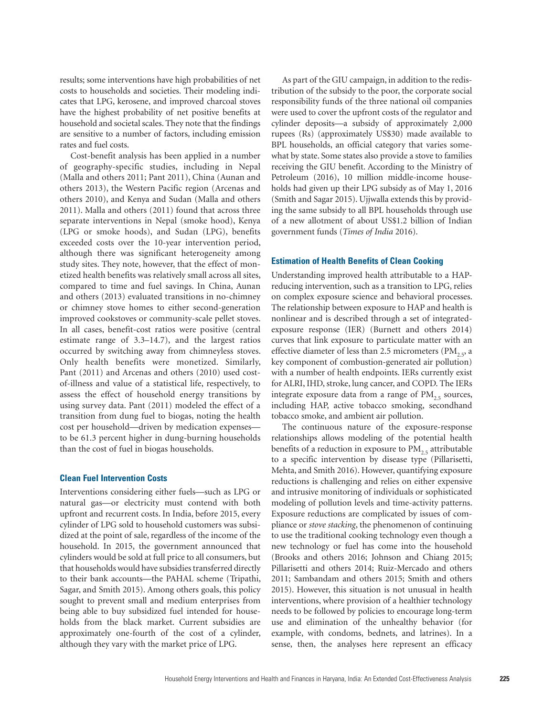results; some interventions have high probabilities of net costs to households and societies. Their modeling indicates that LPG, kerosene, and improved charcoal stoves have the highest probability of net positive benefits at household and societal scales. They note that the findings are sensitive to a number of factors, including emission rates and fuel costs.

Cost-benefit analysis has been applied in a number of geography-specific studies, including in Nepal (Malla and others 2011; Pant 2011), China (Aunan and others 2013), the Western Pacific region (Arcenas and others 2010), and Kenya and Sudan (Malla and others 2011). Malla and others (2011) found that across three separate interventions in Nepal (smoke hood), Kenya (LPG or smoke hoods), and Sudan (LPG), benefits exceeded costs over the 10-year intervention period, although there was significant heterogeneity among study sites. They note, however, that the effect of monetized health benefits was relatively small across all sites, compared to time and fuel savings. In China, Aunan and others (2013) evaluated transitions in no-chimney or chimney stove homes to either second-generation improved cookstoves or community-scale pellet stoves. In all cases, benefit-cost ratios were positive (central estimate range of 3.3–14.7), and the largest ratios occurred by switching away from chimneyless stoves. Only health benefits were monetized. Similarly, Pant (2011) and Arcenas and others (2010) used costof-illness and value of a statistical life, respectively, to assess the effect of household energy transitions by using survey data. Pant (2011) modeled the effect of a transition from dung fuel to biogas, noting the health cost per household—driven by medication expenses to be 61.3 percent higher in dung-burning households than the cost of fuel in biogas households.

#### **Clean Fuel Intervention Costs**

Interventions considering either fuels—such as LPG or natural gas—or electricity must contend with both upfront and recurrent costs. In India, before 2015, every cylinder of LPG sold to household customers was subsidized at the point of sale, regardless of the income of the household. In 2015, the government announced that cylinders would be sold at full price to all consumers, but that households would have subsidies transferred directly to their bank accounts—the PAHAL scheme (Tripathi, Sagar, and Smith 2015). Among others goals, this policy sought to prevent small and medium enterprises from being able to buy subsidized fuel intended for households from the black market. Current subsidies are approximately one-fourth of the cost of a cylinder, although they vary with the market price of LPG.

As part of the GIU campaign, in addition to the redistribution of the subsidy to the poor, the corporate social responsibility funds of the three national oil companies were used to cover the upfront costs of the regulator and cylinder deposits—a subsidy of approximately 2,000 rupees (Rs) (approximately US\$30) made available to BPL households, an official category that varies somewhat by state. Some states also provide a stove to families receiving the GIU benefit. According to the Ministry of Petroleum (2016), 10 million middle-income households had given up their LPG subsidy as of May 1, 2016 (Smith and Sagar 2015). Ujjwalla extends this by providing the same subsidy to all BPL households through use of a new allotment of about US\$1.2 billion of Indian government funds (*Times of India* 2016).

#### **Estimation of Health Benefits of Clean Cooking**

Understanding improved health attributable to a HAPreducing intervention, such as a transition to LPG, relies on complex exposure science and behavioral processes. The relationship between exposure to HAP and health is nonlinear and is described through a set of integratedexposure response (IER) (Burnett and others 2014) curves that link exposure to particulate matter with an effective diameter of less than 2.5 micrometers ( $PM_{2,5}$ , a key component of combustion-generated air pollution) with a number of health endpoints. IERs currently exist for ALRI, IHD, stroke, lung cancer, and COPD. The IERs integrate exposure data from a range of  $PM_{2.5}$  sources, including HAP, active tobacco smoking, secondhand tobacco smoke, and ambient air pollution.

The continuous nature of the exposure-response relationships allows modeling of the potential health benefits of a reduction in exposure to  $PM_{2.5}$  attributable to a specific intervention by disease type (Pillarisetti, Mehta, and Smith 2016). However, quantifying exposure reductions is challenging and relies on either expensive and intrusive monitoring of individuals or sophisticated modeling of pollution levels and time-activity patterns. Exposure reductions are complicated by issues of compliance or *stove stacking*, the phenomenon of continuing to use the traditional cooking technology even though a new technology or fuel has come into the household (Brooks and others 2016; Johnson and Chiang 2015; Pillarisetti and others 2014; Ruiz-Mercado and others 2011; Sambandam and others 2015; Smith and others 2015). However, this situation is not unusual in health interventions, where provision of a healthier technology needs to be followed by policies to encourage long-term use and elimination of the unhealthy behavior (for example, with condoms, bednets, and latrines). In a sense, then, the analyses here represent an efficacy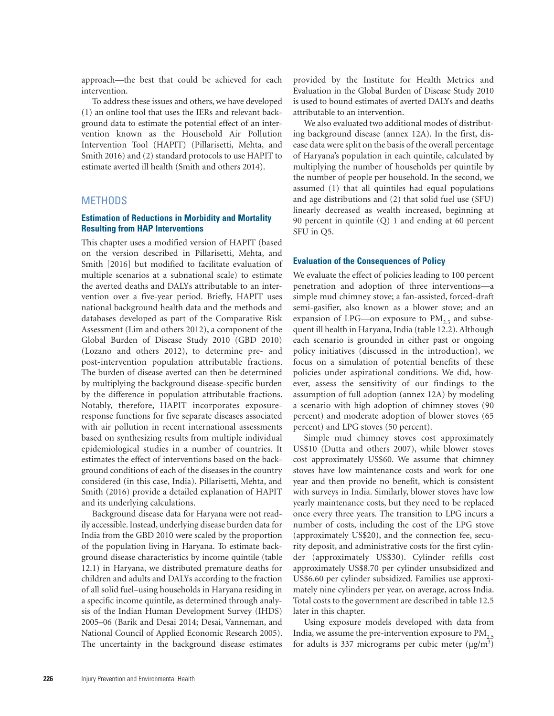approach—the best that could be achieved for each intervention.

To address these issues and others, we have developed (1) an online tool that uses the IERs and relevant background data to estimate the potential effect of an intervention known as the Household Air Pollution Intervention Tool (HAPIT) (Pillarisetti, Mehta, and Smith 2016) and (2) standard protocols to use HAPIT to estimate averted ill health (Smith and others 2014).

## **METHODS**

## **Estimation of Reductions in Morbidity and Mortality Resulting from HAP Interventions**

This chapter uses a modified version of HAPIT (based on the version described in Pillarisetti, Mehta, and Smith [2016] but modified to facilitate evaluation of multiple scenarios at a subnational scale) to estimate the averted deaths and DALYs attributable to an intervention over a five-year period. Briefly, HAPIT uses national background health data and the methods and databases developed as part of the Comparative Risk Assessment (Lim and others 2012), a component of the Global Burden of Disease Study 2010 (GBD 2010) (Lozano and others 2012), to determine pre- and post-intervention population attributable fractions. The burden of disease averted can then be determined by multiplying the background disease-specific burden by the difference in population attributable fractions. Notably, therefore, HAPIT incorporates exposureresponse functions for five separate diseases associated with air pollution in recent international assessments based on synthesizing results from multiple individual epidemiological studies in a number of countries. It estimates the effect of interventions based on the background conditions of each of the diseases in the country considered (in this case, India). Pillarisetti, Mehta, and Smith (2016) provide a detailed explanation of HAPIT and its underlying calculations.

Background disease data for Haryana were not readily accessible. Instead, underlying disease burden data for India from the GBD 2010 were scaled by the proportion of the population living in Haryana. To estimate background disease characteristics by income quintile (table 12.1) in Haryana, we distributed premature deaths for children and adults and DALYs according to the fraction of all solid fuel–using households in Haryana residing in a specific income quintile, as determined through analysis of the Indian Human Development Survey (IHDS) 2005–06 (Barik and Desai 2014; Desai, Vanneman, and National Council of Applied Economic Research 2005). The uncertainty in the background disease estimates

provided by the Institute for Health Metrics and Evaluation in the Global Burden of Disease Study 2010 is used to bound estimates of averted DALYs and deaths attributable to an intervention.

We also evaluated two additional modes of distributing background disease (annex 12A). In the first, disease data were split on the basis of the overall percentage of Haryana's population in each quintile, calculated by multiplying the number of households per quintile by the number of people per household. In the second, we assumed (1) that all quintiles had equal populations and age distributions and (2) that solid fuel use (SFU) linearly decreased as wealth increased, beginning at 90 percent in quintile (Q) 1 and ending at 60 percent SFU in Q5.

#### **Evaluation of the Consequences of Policy**

We evaluate the effect of policies leading to 100 percent penetration and adoption of three interventions—a simple mud chimney stove; a fan-assisted, forced-draft semi-gasifier, also known as a blower stove; and an expansion of LPG—on exposure to  $PM_{2.5}$  and subsequent ill health in Haryana, India (table 12.2). Although each scenario is grounded in either past or ongoing policy initiatives (discussed in the introduction), we focus on a simulation of potential benefits of these policies under aspirational conditions. We did, however, assess the sensitivity of our findings to the assumption of full adoption (annex 12A) by modeling a scenario with high adoption of chimney stoves (90 percent) and moderate adoption of blower stoves (65 percent) and LPG stoves (50 percent).

Simple mud chimney stoves cost approximately US\$10 (Dutta and others 2007), while blower stoves cost approximately US\$60. We assume that chimney stoves have low maintenance costs and work for one year and then provide no benefit, which is consistent with surveys in India. Similarly, blower stoves have low yearly maintenance costs, but they need to be replaced once every three years. The transition to LPG incurs a number of costs, including the cost of the LPG stove (approximately US\$20), and the connection fee, security deposit, and administrative costs for the first cylinder (approximately US\$30). Cylinder refills cost approximately US\$8.70 per cylinder unsubsidized and US\$6.60 per cylinder subsidized. Families use approximately nine cylinders per year, on average, across India. Total costs to the government are described in table 12.5 later in this chapter.

Using exposure models developed with data from India, we assume the pre-intervention exposure to  $PM$ <sub>2.5</sub> for adults is 337 micrograms per cubic meter  $(\mu g/m^3)$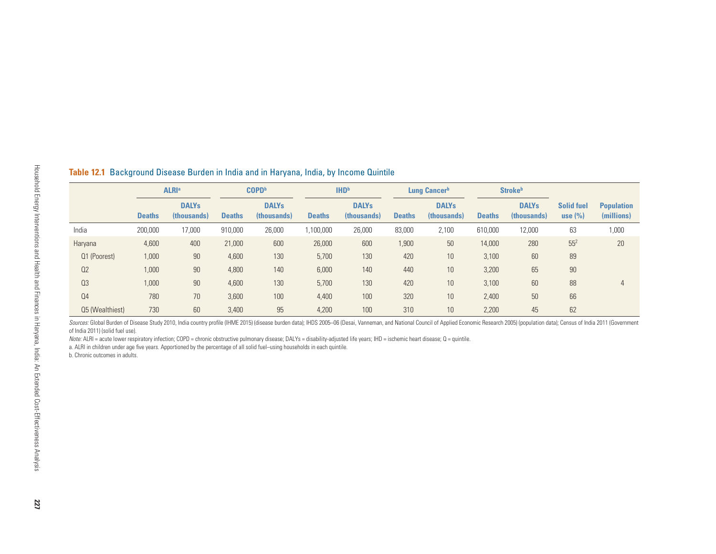|                                                                                                                                                                                                                                                                                                                                                                                         | <b>ALRI</b> <sup>a</sup> |                             | <b>COPD</b> b |                             | IHD <sup>b</sup> |                             | Lung Cancer <sup>b</sup> |                             | <b>Stroke</b> <sup>b</sup> |                                                                                                                                                                                                                                |                                  |                                 |
|-----------------------------------------------------------------------------------------------------------------------------------------------------------------------------------------------------------------------------------------------------------------------------------------------------------------------------------------------------------------------------------------|--------------------------|-----------------------------|---------------|-----------------------------|------------------|-----------------------------|--------------------------|-----------------------------|----------------------------|--------------------------------------------------------------------------------------------------------------------------------------------------------------------------------------------------------------------------------|----------------------------------|---------------------------------|
|                                                                                                                                                                                                                                                                                                                                                                                         | <b>Deaths</b>            | <b>DALYs</b><br>(thousands) | <b>Deaths</b> | <b>DALYs</b><br>(thousands) | <b>Deaths</b>    | <b>DALYs</b><br>(thousands) | <b>Deaths</b>            | <b>DALYs</b><br>(thousands) | <b>Deaths</b>              | <b>DALYs</b><br>(thousands)                                                                                                                                                                                                    | <b>Solid fuel</b><br>use $(\% )$ | <b>Population</b><br>(millions) |
| India                                                                                                                                                                                                                                                                                                                                                                                   | 200,000                  | 17,000                      | 910,000       | 26,000                      | 1,100,000        | 26,000                      | 83,000                   | 2,100                       | 610,000                    | 12,000                                                                                                                                                                                                                         | 63                               | 1,000                           |
| Haryana                                                                                                                                                                                                                                                                                                                                                                                 | 4,600                    | 400                         | 21,000        | 600                         | 26,000           | 600                         | 1,900                    | 50                          | 14,000                     | 280                                                                                                                                                                                                                            | 55 <sup>2</sup>                  | 20                              |
| Q1 (Poorest)                                                                                                                                                                                                                                                                                                                                                                            | 1,000                    | 90                          | 4,600         | 130                         | 5,700            | 130                         | 420                      | 10                          | 3,100                      | 60                                                                                                                                                                                                                             | 89                               |                                 |
| Q2                                                                                                                                                                                                                                                                                                                                                                                      | 1,000                    | 90                          | 4,800         | 140                         | 6,000            | 140                         | 440                      | 10                          | 3,200                      | 65                                                                                                                                                                                                                             | 90                               |                                 |
| Q3                                                                                                                                                                                                                                                                                                                                                                                      | 1,000                    | $90\,$                      | 4,600         | 130                         | 5,700            | 130                         | 420                      | 10                          | 3,100                      | 60                                                                                                                                                                                                                             | 88                               |                                 |
| Q <sub>4</sub>                                                                                                                                                                                                                                                                                                                                                                          | 780                      | 70                          | 3,600         | 100                         | 4,400            | 100                         | 320                      | 10                          | 2,400                      | $50\,$                                                                                                                                                                                                                         | 66                               |                                 |
| Q5 (Wealthiest)                                                                                                                                                                                                                                                                                                                                                                         | 730                      | 60                          | 3,400         | 95                          | 4,200            | 100                         | 310                      | 10                          | 2,200                      | 45                                                                                                                                                                                                                             | 62                               |                                 |
| of India 2011) (solid fuel use).<br>Note: ALRI = acute lower respiratory infection; COPD = chronic obstructive pulmonary disease; DALYs = disability-adjusted life years; IHD = ischemic heart disease; Q = quintile.<br>a. ALRI in children under age five years. Apportioned by the percentage of all solid fuel-using households in each quintile.<br>b. Chronic outcomes in adults. |                          |                             |               |                             |                  |                             |                          |                             |                            | Sources: Global Burden of Disease Study 2010, India country profile (IHME 2015) (disease burden data); IHDS 2005-06 (Desai, Vanneman, and National Council of Applied Economic Research 2005) (population data); Census of Ind |                                  |                                 |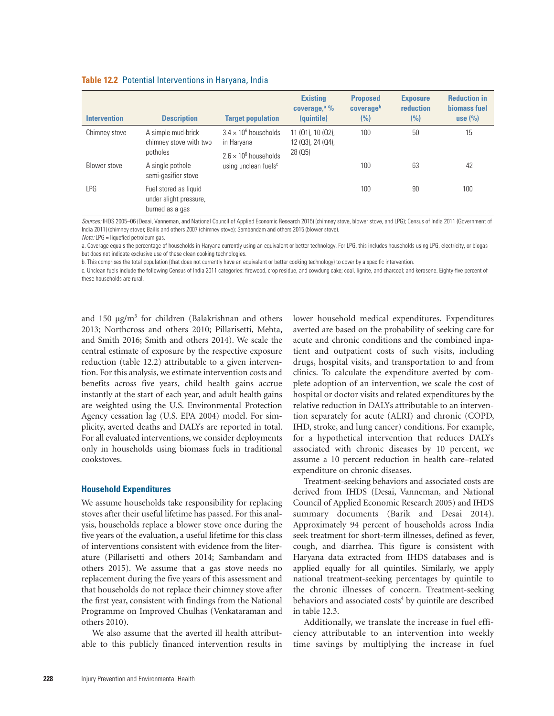|  |  | Table 12.2 Potential Interventions in Haryana, India |  |  |  |
|--|--|------------------------------------------------------|--|--|--|
|--|--|------------------------------------------------------|--|--|--|

| <b>Intervention</b> | <b>Description</b>                                                 | <b>Target population</b>                                                   | <b>Existing</b><br>coverage, $a\%$<br>(quintile)  | <b>Proposed</b><br>coverageb<br>(%) | <b>Exposure</b><br>reduction<br>(%) | <b>Reduction in</b><br>biomass fuel<br>use $(\% )$ |
|---------------------|--------------------------------------------------------------------|----------------------------------------------------------------------------|---------------------------------------------------|-------------------------------------|-------------------------------------|----------------------------------------------------|
| Chimney stove       | A simple mud-brick<br>chimney stove with two<br>potholes           | $3.4 \times 10^6$ households<br>in Haryana<br>$2.6 \times 10^6$ households | 11 (01), 10 (02),<br>12 (03), 24 (04),<br>28 (05) | 100                                 | 50                                  | 15                                                 |
| Blower stove        | A single pothole<br>semi-gasifier stove                            | using unclean fuels <sup>c</sup>                                           |                                                   | 100                                 | 63                                  | 42                                                 |
| LPG                 | Fuel stored as liquid<br>under slight pressure,<br>burned as a gas |                                                                            |                                                   | 100                                 | 90                                  | 100                                                |

Sources: IHDS 2005-06 (Desai, Vanneman, and National Council of Applied Economic Research 2015) (chimney stove, blower stove, and LPG); Census of India 2011 (Government of India 2011) (chimney stove); Bailis and others 2007 (chimney stove); Sambandam and others 2015 (blower stove).

Note: LPG = liquefied petroleum gas.

a. Coverage equals the percentage of households in Haryana currently using an equivalent or better technology. For LPG, this includes households using LPG, electricity, or biogas but does not indicate exclusive use of these clean cooking technologies.

b. This comprises the total population (that does not currently have an equivalent or better cooking technology) to cover by a specific intervention.

c. Unclean fuels include the following Census of India 2011 categories: firewood, crop residue, and cowdung cake; coal, lignite, and charcoal; and kerosene. Eighty-five percent of these households are rural.

and 150 μg/m<sup>3</sup> for children (Balakrishnan and others 2013; Northcross and others 2010; Pillarisetti, Mehta, and Smith 2016; Smith and others 2014). We scale the central estimate of exposure by the respective exposure reduction (table 12.2) attributable to a given intervention. For this analysis, we estimate intervention costs and benefits across five years, child health gains accrue instantly at the start of each year, and adult health gains are weighted using the U.S. Environmental Protection Agency cessation lag (U.S. EPA 2004) model. For simplicity, averted deaths and DALYs are reported in total. For all evaluated interventions, we consider deployments only in households using biomass fuels in traditional cookstoves.

#### **Household Expenditures**

We assume households take responsibility for replacing stoves after their useful lifetime has passed. For this analysis, households replace a blower stove once during the five years of the evaluation, a useful lifetime for this class of interventions consistent with evidence from the literature (Pillarisetti and others 2014; Sambandam and others 2015). We assume that a gas stove needs no replacement during the five years of this assessment and that households do not replace their chimney stove after the first year, consistent with findings from the National Programme on Improved Chulhas (Venkataraman and others 2010).

We also assume that the averted ill health attributable to this publicly financed intervention results in lower household medical expenditures. Expenditures averted are based on the probability of seeking care for acute and chronic conditions and the combined inpatient and outpatient costs of such visits, including drugs, hospital visits, and transportation to and from clinics. To calculate the expenditure averted by complete adoption of an intervention, we scale the cost of hospital or doctor visits and related expenditures by the relative reduction in DALYs attributable to an intervention separately for acute (ALRI) and chronic (COPD, IHD, stroke, and lung cancer) conditions. For example, for a hypothetical intervention that reduces DALYs associated with chronic diseases by 10 percent, we assume a 10 percent reduction in health care–related expenditure on chronic diseases.

Treatment-seeking behaviors and associated costs are derived from IHDS (Desai, Vanneman, and National Council of Applied Economic Research 2005) and IHDS summary documents (Barik and Desai 2014). Approximately 94 percent of households across India seek treatment for short-term illnesses, defined as fever, cough, and diarrhea. This figure is consistent with Haryana data extracted from IHDS databases and is applied equally for all quintiles. Similarly, we apply national treatment-seeking percentages by quintile to the chronic illnesses of concern. Treatment-seeking behaviors and associated costs<sup>4</sup> by quintile are described in table 12.3.

Additionally, we translate the increase in fuel efficiency attributable to an intervention into weekly time savings by multiplying the increase in fuel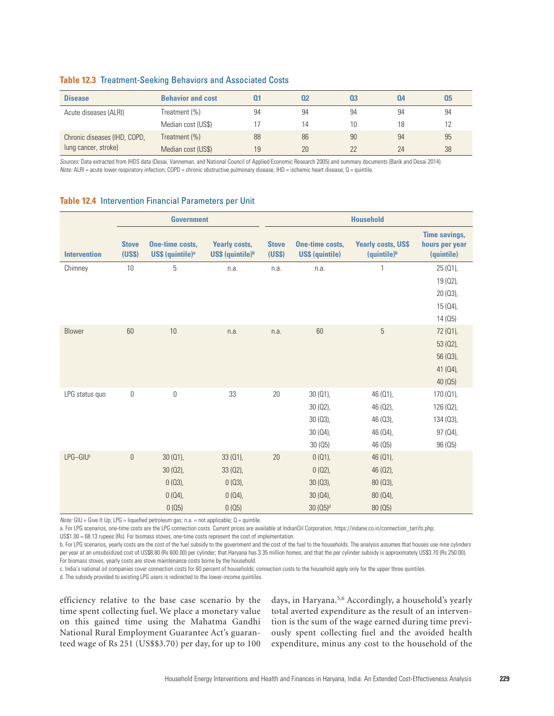| <b>Disease</b>               | <b>Behavior and cost</b> |    | 02 | 03 |    | 05 |
|------------------------------|--------------------------|----|----|----|----|----|
| Acute diseases (ALRI)        | Treatment (%)            | 94 | 94 | 94 | 94 | 94 |
|                              | Median cost (US\$)       |    | 14 | 10 | 18 | 12 |
| Chronic diseases (IHD, COPD, | Treatment (%)            | 88 | 86 | 90 | 94 | 95 |

## **Table 12.3** Treatment-Seeking Behaviors and Associated Costs

Sources: Data extracted from IHDS data (Desai, Vanneman, and National Council of Applied Economic Research 2005) and summary documents (Barik and Desai 2014). Note: ALRI = acute lower respiratory infection; COPD = chronic obstructive pulmonary disease; IHD = ischemic heart disease; Q = quintile.

Median cost (US\$) 19 20 22 24 38

#### **Table 12.4** Intervention Financial Parameters per Unit

lung cancer, stroke)

|                      | <b>Government</b>      |                                                        |                                                      | <b>Household</b>      |                                                  |                                                          |                                                      |  |
|----------------------|------------------------|--------------------------------------------------------|------------------------------------------------------|-----------------------|--------------------------------------------------|----------------------------------------------------------|------------------------------------------------------|--|
| <b>Intervention</b>  | <b>Stove</b><br>(US\$) | <b>One-time costs,</b><br>US\$ (quintile) <sup>a</sup> | <b>Yearly costs,</b><br>US\$ (quintile) <sup>b</sup> | <b>Stove</b><br>(USS) | <b>One-time costs.</b><br><b>US\$</b> (quintile) | <b>Yearly costs, US\$</b><br>${$ (quintile) <sup>b</sup> | <b>Time savings,</b><br>hours per year<br>(quintile) |  |
| Chimney              | 10                     | 5                                                      | n.a.                                                 | n.a.                  | n.a.                                             | 1                                                        | $25(01)$ ,                                           |  |
|                      |                        |                                                        |                                                      |                       |                                                  |                                                          | 19 (02),                                             |  |
|                      |                        |                                                        |                                                      |                       |                                                  |                                                          | $20(03)$ ,                                           |  |
|                      |                        |                                                        |                                                      |                       |                                                  |                                                          | 15 (04),                                             |  |
|                      |                        |                                                        |                                                      |                       |                                                  |                                                          | 14(05)                                               |  |
| Blower               | 60                     | 10                                                     | n.a.                                                 | n.a.                  | 60                                               | 5                                                        | 72 (Q1),                                             |  |
|                      |                        |                                                        |                                                      |                       |                                                  |                                                          | $53(02)$ ,                                           |  |
|                      |                        |                                                        |                                                      |                       |                                                  |                                                          | 56 (03),                                             |  |
|                      |                        |                                                        |                                                      |                       |                                                  |                                                          | 41 (Q4),                                             |  |
|                      |                        |                                                        |                                                      |                       |                                                  |                                                          | 40(05)                                               |  |
| LPG status quo       | $\boldsymbol{0}$       | $\mathbf 0$                                            | 33                                                   | 20                    | $30(01)$ ,                                       | 46 (01),                                                 | 170 (01),                                            |  |
|                      |                        |                                                        |                                                      |                       | 30 (02),                                         | 46 (02),                                                 | 126 (02),                                            |  |
|                      |                        |                                                        |                                                      |                       | $30(03)$ ,                                       | 46 (03),                                                 | $134(03)$ ,                                          |  |
|                      |                        |                                                        |                                                      |                       | $30(04)$ ,                                       | 46 (Q4),                                                 | 97 (04),                                             |  |
|                      |                        |                                                        |                                                      |                       | 30(05)                                           | 46 (05)                                                  | 96 (05)                                              |  |
| LPG-GIU <sup>c</sup> | $\overline{0}$         | $30(01)$ ,                                             | $33(01)$ ,                                           | 20                    | $0(01)$ ,                                        | 46 (Q1),                                                 |                                                      |  |
|                      |                        | $30(02)$ ,                                             | $33(02)$ ,                                           |                       | $0(02)$ ,                                        | 46 (Q2),                                                 |                                                      |  |
|                      |                        | 0(03),                                                 | $0(03)$ ,                                            |                       | $30(03)$ ,                                       | $80(03)$ ,                                               |                                                      |  |
|                      |                        | $0(04)$ ,                                              | $0(04)$ ,                                            |                       | $30(04)$ ,                                       | 80 (Q4),                                                 |                                                      |  |
|                      |                        | 0(05)                                                  | 0(05)                                                |                       | 30 (Q5) <sup>d</sup>                             | 80 (Q5)                                                  |                                                      |  |

*Note:* GIU = Give It Up; LPG = liquefied petroleum gas; n.a. = not applicable;  $Q =$  quintile.

a. For LPG scenarios, one-time costs are the LPG connection costs. Current prices are available at IndianOil Corporation[, https://indane.co.in/connection\\_tarrifs.php;](https://indane.co.in/connection_tarrifs.php) 

US\$1.00 = 68.13 rupees (Rs). For biomass stoves, one-time costs represent the cost of implementation.

b. For LPG scenarios, yearly costs are the cost of the fuel subsidy to the government and the cost of the fuel to the households. The analysis assumes that houses use nine cylinders per year at an unsubsidized cost of US\$8.80 (Rs 600.00) per cylinder; that Haryana has 3.35 million homes; and that the per cylinder subsidy is approximately US\$3.70 (Rs 250.00). For biomass stoves, yearly costs are stove maintenance costs borne by the household.

c. India's national oil companies cover connection costs for 60 percent of households; connection costs to the household apply only for the upper three quintiles.

d. The subsidy provided to existing LPG users is redirected to the lower-income quintiles.

efficiency relative to the base case scenario by the time spent collecting fuel. We place a monetary value on this gained time using the Mahatma Gandhi National Rural Employment Guarantee Act's guaranteed wage of Rs 251 (US\$\$3.70) per day, for up to 100 days, in Haryana.5,6 Accordingly, a household's yearly total averted expenditure as the result of an intervention is the sum of the wage earned during time previously spent collecting fuel and the avoided health expenditure, minus any cost to the household of the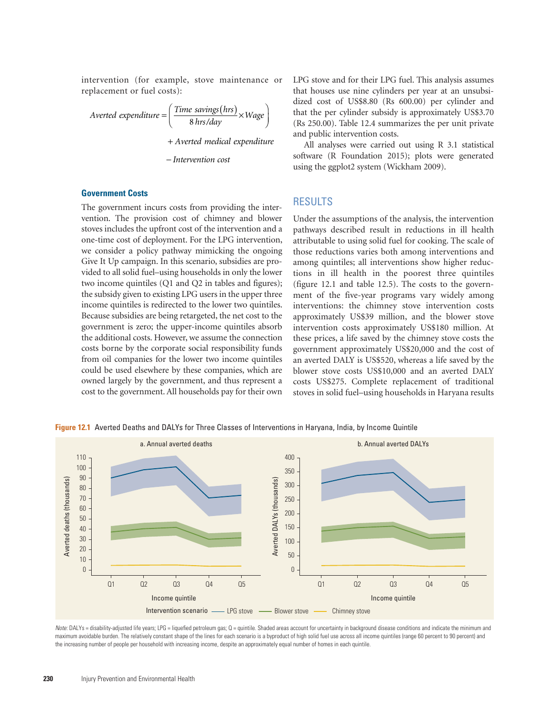intervention (for example, stove maintenance or replacement or fuel costs):

 $=\left(\frac{\text{Time savings(hrs)}}{\text{Total} + \text{total}}\right)$ ⎝ ⎜  $\lambda$  $Averted expenditure = \left(\frac{Time savings(hrs)}{8 hrs/day} \times Wage\right)$ + *Averted medical expenditure* − *Intervention cost*

#### **Government Costs**

The government incurs costs from providing the intervention. The provision cost of chimney and blower stoves includes the upfront cost of the intervention and a one-time cost of deployment. For the LPG intervention, we consider a policy pathway mimicking the ongoing Give It Up campaign. In this scenario, subsidies are provided to all solid fuel–using households in only the lower two income quintiles (Q1 and Q2 in tables and figures); the subsidy given to existing LPG users in the upper three income quintiles is redirected to the lower two quintiles. Because subsidies are being retargeted, the net cost to the government is zero; the upper-income quintiles absorb the additional costs. However, we assume the connection costs borne by the corporate social responsibility funds from oil companies for the lower two income quintiles could be used elsewhere by these companies, which are owned largely by the government, and thus represent a cost to the government. All households pay for their own

LPG stove and for their LPG fuel. This analysis assumes that houses use nine cylinders per year at an unsubsidized cost of US\$8.80 (Rs 600.00) per cylinder and that the per cylinder subsidy is approximately US\$3.70 (Rs 250.00). Table 12.4 summarizes the per unit private and public intervention costs.

All analyses were carried out using R 3.1 statistical software (R Foundation 2015); plots were generated using the ggplot2 system (Wickham 2009).

## **RESULTS**

Under the assumptions of the analysis, the intervention pathways described result in reductions in ill health attributable to using solid fuel for cooking. The scale of those reductions varies both among interventions and among quintiles; all interventions show higher reductions in ill health in the poorest three quintiles (figure 12.1 and table 12.5). The costs to the government of the five-year programs vary widely among interventions: the chimney stove intervention costs approximately US\$39 million, and the blower stove intervention costs approximately US\$180 million. At these prices, a life saved by the chimney stove costs the government approximately US\$20,000 and the cost of an averted DALY is US\$520, whereas a life saved by the blower stove costs US\$10,000 and an averted DALY costs US\$275. Complete replacement of traditional stoves in solid fuel–using households in Haryana results



**Figure 12.1** Averted Deaths and DALYs for Three Classes of Interventions in Haryana, India, by Income Quintile

Note: DALYs = disability-adjusted life years; LPG = liquefied petroleum gas; Q = quintile. Shaded areas account for uncertainty in background disease conditions and indicate the minimum and maximum avoidable burden. The relatively constant shape of the lines for each scenario is a byproduct of high solid fuel use across all income quintiles (range 60 percent to 90 percent) and the increasing number of people per household with increasing income, despite an approximately equal number of homes in each quintile.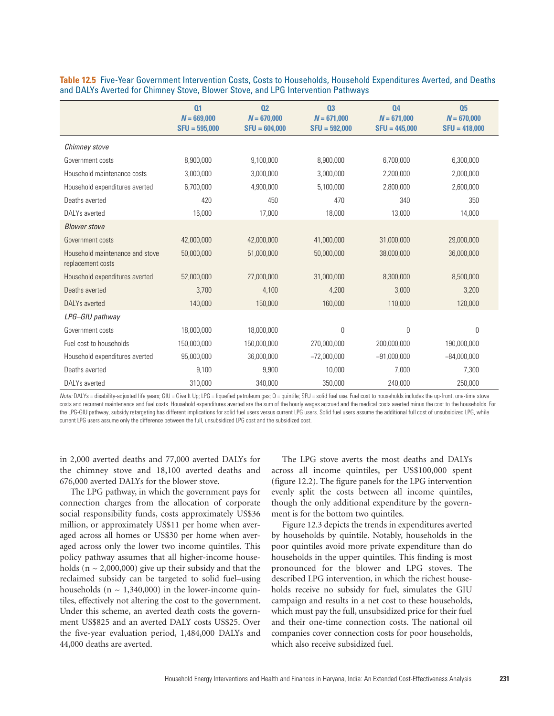|                                                      | Q <sub>1</sub><br>$N = 669,000$<br>$SFU = 595.000$ | 0 <sub>2</sub><br>$N = 670.000$<br>$SFU = 604.000$ | 03<br>$N = 671,000$<br>$SFU = 592.000$ | <b>Q4</b><br>$N = 671.000$<br>$SFU = 445.000$ | <b>Q5</b><br>$N = 670,000$<br>$SFU = 418.000$ |
|------------------------------------------------------|----------------------------------------------------|----------------------------------------------------|----------------------------------------|-----------------------------------------------|-----------------------------------------------|
| <b>Chimney stove</b>                                 |                                                    |                                                    |                                        |                                               |                                               |
| Government costs                                     | 8,900,000                                          | 9,100,000                                          | 8,900,000                              | 6,700,000                                     | 6,300,000                                     |
| Household maintenance costs                          | 3,000,000                                          | 3,000,000                                          | 3,000,000                              | 2,200,000                                     | 2,000,000                                     |
| Household expenditures averted                       | 6.700.000                                          | 4.900.000                                          | 5,100,000                              | 2,800,000                                     | 2.600.000                                     |
| Deaths averted                                       | 420                                                | 450                                                | 470                                    | 340                                           | 350                                           |
| DALYs averted                                        | 16,000                                             | 17,000                                             | 18,000                                 | 13,000                                        | 14,000                                        |
| <b>Blower stove</b>                                  |                                                    |                                                    |                                        |                                               |                                               |
| Government costs                                     | 42,000,000                                         | 42,000,000                                         | 41,000,000                             | 31,000,000                                    | 29,000,000                                    |
| Household maintenance and stove<br>replacement costs | 50,000,000                                         | 51,000,000                                         | 50,000,000                             | 38,000,000                                    | 36,000,000                                    |
| Household expenditures averted                       | 52,000,000                                         | 27,000,000                                         | 31,000,000                             | 8,300,000                                     | 8,500,000                                     |
| Deaths averted                                       | 3.700                                              | 4.100                                              | 4.200                                  | 3.000                                         | 3.200                                         |
| <b>DALYs</b> averted                                 | 140,000                                            | 150,000                                            | 160,000                                | 110,000                                       | 120,000                                       |
| LPG-GIU pathway                                      |                                                    |                                                    |                                        |                                               |                                               |
| Government costs                                     | 18,000,000                                         | 18,000,000                                         | 0                                      | 0                                             | $\theta$                                      |
| Fuel cost to households                              | 150,000,000                                        | 150,000,000                                        | 270,000,000                            | 200,000,000                                   | 190,000,000                                   |
| Household expenditures averted                       | 95,000,000                                         | 36,000,000                                         | $-72,000,000$                          | $-91,000,000$                                 | $-84,000,000$                                 |
| Deaths averted                                       | 9,100                                              | 9.900                                              | 10,000                                 | 7,000                                         | 7,300                                         |
| DALYs averted                                        | 310,000                                            | 340,000                                            | 350,000                                | 240,000                                       | 250,000                                       |

**Table 12.5** Five-Year Government Intervention Costs, Costs to Households, Household Expenditures Averted, and Deaths and DALYs Averted for Chimney Stove, Blower Stove, and LPG Intervention Pathways

Note: DALYs = disability-adjusted life years; GIU = Give It Up; LPG = liquefied petroleum gas; Q = quintile; SFU = solid fuel use. Fuel cost to households includes the up-front, one-time stove costs and recurrent maintenance and fuel costs. Household expenditures averted are the sum of the hourly wages accrued and the medical costs averted minus the cost to the households. For the LPG-GIU pathway, subsidy retargeting has different implications for solid fuel users versus current LPG users. Solid fuel users assume the additional full cost of unsubsidized LPG, while current LPG users assume only the difference between the full, unsubsidized LPG cost and the subsidized cost.

in 2,000 averted deaths and 77,000 averted DALYs for the chimney stove and 18,100 averted deaths and 676,000 averted DALYs for the blower stove.

The LPG pathway, in which the government pays for connection charges from the allocation of corporate social responsibility funds, costs approximately US\$36 million, or approximately US\$11 per home when averaged across all homes or US\$30 per home when averaged across only the lower two income quintiles. This policy pathway assumes that all higher-income households ( $n \sim 2,000,000$ ) give up their subsidy and that the reclaimed subsidy can be targeted to solid fuel–using households ( $n \sim 1,340,000$ ) in the lower-income quintiles, effectively not altering the cost to the government. Under this scheme, an averted death costs the government US\$825 and an averted DALY costs US\$25. Over the five-year evaluation period, 1,484,000 DALYs and 44,000 deaths are averted.

The LPG stove averts the most deaths and DALYs across all income quintiles, per US\$100,000 spent (figure 12.2). The figure panels for the LPG intervention evenly split the costs between all income quintiles, though the only additional expenditure by the government is for the bottom two quintiles.

Figure 12.3 depicts the trends in expenditures averted by households by quintile. Notably, households in the poor quintiles avoid more private expenditure than do households in the upper quintiles. This finding is most pronounced for the blower and LPG stoves. The described LPG intervention, in which the richest households receive no subsidy for fuel, simulates the GIU campaign and results in a net cost to these households, which must pay the full, unsubsidized price for their fuel and their one-time connection costs. The national oil companies cover connection costs for poor households, which also receive subsidized fuel.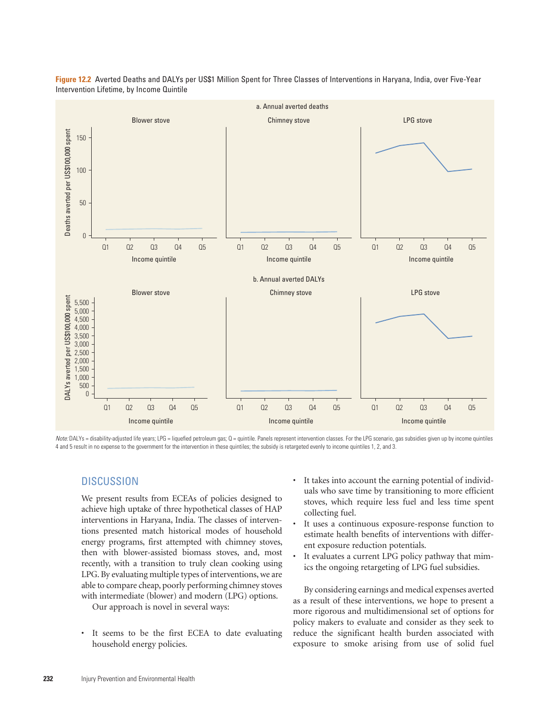

**Figure 12.2** Averted Deaths and DALYs per US\$1 Million Spent for Three Classes of Interventions in Haryana, India, over Five-Year Intervention Lifetime, by Income Quintile

Note: DALYs = disability-adjusted life years; LPG = liquefied petroleum gas; Q = quintile. Panels represent intervention classes. For the LPG scenario, gas subsidies given up by income quintiles 4 and 5 result in no expense to the government for the intervention in these quintiles; the subsidy is retargeted evenly to income quintiles 1, 2, and 3.

## **DISCUSSION**

We present results from ECEAs of policies designed to achieve high uptake of three hypothetical classes of HAP interventions in Haryana, India. The classes of interventions presented match historical modes of household energy programs, first attempted with chimney stoves, then with blower-assisted biomass stoves, and, most recently, with a transition to truly clean cooking using LPG. By evaluating multiple types of interventions, we are able to compare cheap, poorly performing chimney stoves with intermediate (blower) and modern (LPG) options.

Our approach is novel in several ways:

• It seems to be the first ECEA to date evaluating household energy policies.

- It takes into account the earning potential of individuals who save time by transitioning to more efficient stoves, which require less fuel and less time spent collecting fuel.
- It uses a continuous exposure-response function to estimate health benefits of interventions with different exposure reduction potentials.
- It evaluates a current LPG policy pathway that mimics the ongoing retargeting of LPG fuel subsidies.

By considering earnings and medical expenses averted as a result of these interventions, we hope to present a more rigorous and multidimensional set of options for policy makers to evaluate and consider as they seek to reduce the significant health burden associated with exposure to smoke arising from use of solid fuel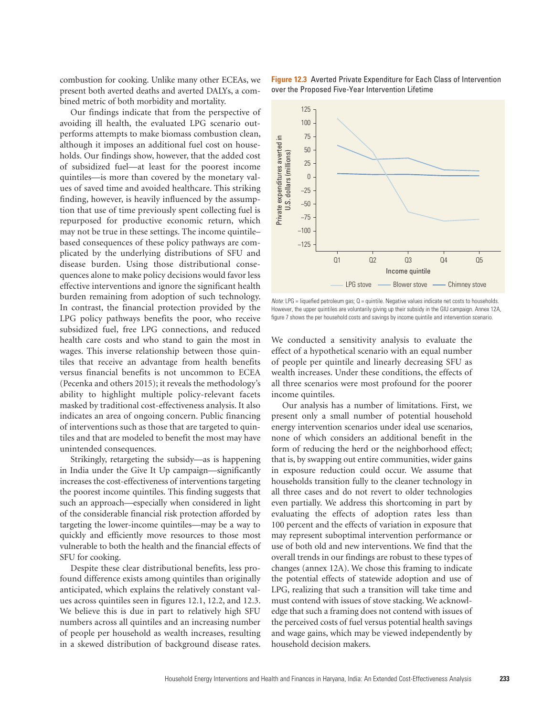combustion for cooking. Unlike many other ECEAs, we present both averted deaths and averted DALYs, a combined metric of both morbidity and mortality.

Our findings indicate that from the perspective of avoiding ill health, the evaluated LPG scenario outperforms attempts to make biomass combustion clean, although it imposes an additional fuel cost on households. Our findings show, however, that the added cost of subsidized fuel—at least for the poorest income quintiles—is more than covered by the monetary values of saved time and avoided healthcare. This striking finding, however, is heavily influenced by the assumption that use of time previously spent collecting fuel is repurposed for productive economic return, which may not be true in these settings. The income quintile– based consequences of these policy pathways are complicated by the underlying distributions of SFU and disease burden. Using those distributional consequences alone to make policy decisions would favor less effective interventions and ignore the significant health burden remaining from adoption of such technology. In contrast, the financial protection provided by the LPG policy pathways benefits the poor, who receive subsidized fuel, free LPG connections, and reduced health care costs and who stand to gain the most in wages. This inverse relationship between those quintiles that receive an advantage from health benefits versus financial benefits is not uncommon to ECEA (Pecenka and others 2015); it reveals the methodology's ability to highlight multiple policy-relevant facets masked by traditional cost- effectiveness analysis. It also indicates an area of ongoing concern. Public financing of interventions such as those that are targeted to quintiles and that are modeled to benefit the most may have unintended consequences.

Strikingly, retargeting the subsidy—as is happening in India under the Give It Up campaign—significantly increases the cost-effectiveness of interventions targeting the poorest income quintiles. This finding suggests that such an approach—especially when considered in light of the considerable financial risk protection afforded by targeting the lower-income quintiles—may be a way to quickly and efficiently move resources to those most vulnerable to both the health and the financial effects of SFU for cooking.

Despite these clear distributional benefits, less profound difference exists among quintiles than originally anticipated, which explains the relatively constant values across quintiles seen in figures 12.1, 12.2, and 12.3. We believe this is due in part to relatively high SFU numbers across all quintiles and an increasing number of people per household as wealth increases, resulting in a skewed distribution of background disease rates. **Figure 12.3** Averted Private Expenditure for Each Class of Intervention over the Proposed Five-Year Intervention Lifetime



 $Note: LPG = Iiquefiedq between gas; Q = quintile. Negative values indicate net costs to households.$ However, the upper quintiles are voluntarily giving up their subsidy in the GIU campaign. Annex 12A, figure 7 shows the per household costs and savings by income quintile and intervention scenario.

We conducted a sensitivity analysis to evaluate the effect of a hypothetical scenario with an equal number of people per quintile and linearly decreasing SFU as wealth increases. Under these conditions, the effects of all three scenarios were most profound for the poorer income quintiles.

Our analysis has a number of limitations. First, we present only a small number of potential household energy intervention scenarios under ideal use scenarios, none of which considers an additional benefit in the form of reducing the herd or the neighborhood effect; that is, by swapping out entire communities, wider gains in exposure reduction could occur. We assume that households transition fully to the cleaner technology in all three cases and do not revert to older technologies even partially. We address this shortcoming in part by evaluating the effects of adoption rates less than 100 percent and the effects of variation in exposure that may represent suboptimal intervention performance or use of both old and new interventions. We find that the overall trends in our findings are robust to these types of changes (annex 12A). We chose this framing to indicate the potential effects of statewide adoption and use of LPG, realizing that such a transition will take time and must contend with issues of stove stacking. We acknowledge that such a framing does not contend with issues of the perceived costs of fuel versus potential health savings and wage gains, which may be viewed independently by household decision makers.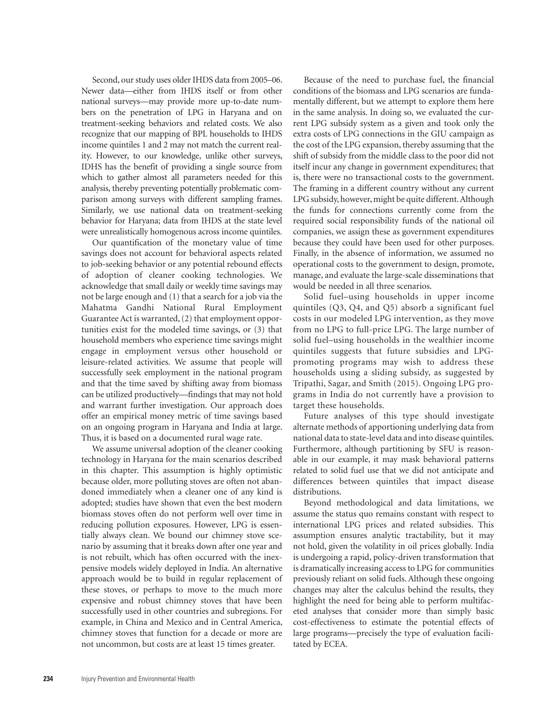Second, our study uses older IHDS data from 2005–06. Newer data—either from IHDS itself or from other national surveys—may provide more up-to-date numbers on the penetration of LPG in Haryana and on treatment-seeking behaviors and related costs. We also recognize that our mapping of BPL households to IHDS income quintiles 1 and 2 may not match the current reality. However, to our knowledge, unlike other surveys, IDHS has the benefit of providing a single source from which to gather almost all parameters needed for this analysis, thereby preventing potentially problematic comparison among surveys with different sampling frames. Similarly, we use national data on treatment-seeking behavior for Haryana; data from IHDS at the state level were unrealistically homogenous across income quintiles.

Our quantification of the monetary value of time savings does not account for behavioral aspects related to job-seeking behavior or any potential rebound effects of adoption of cleaner cooking technologies. We acknowledge that small daily or weekly time savings may not be large enough and (1) that a search for a job via the Mahatma Gandhi National Rural Employment Guarantee Act is warranted, (2) that employment opportunities exist for the modeled time savings, or (3) that household members who experience time savings might engage in employment versus other household or leisure-related activities. We assume that people will successfully seek employment in the national program and that the time saved by shifting away from biomass can be utilized productively—findings that may not hold and warrant further investigation. Our approach does offer an empirical money metric of time savings based on an ongoing program in Haryana and India at large. Thus, it is based on a documented rural wage rate.

We assume universal adoption of the cleaner cooking technology in Haryana for the main scenarios described in this chapter. This assumption is highly optimistic because older, more polluting stoves are often not abandoned immediately when a cleaner one of any kind is adopted; studies have shown that even the best modern biomass stoves often do not perform well over time in reducing pollution exposures. However, LPG is essentially always clean. We bound our chimney stove scenario by assuming that it breaks down after one year and is not rebuilt, which has often occurred with the inexpensive models widely deployed in India. An alternative approach would be to build in regular replacement of these stoves, or perhaps to move to the much more expensive and robust chimney stoves that have been successfully used in other countries and subregions. For example, in China and Mexico and in Central America, chimney stoves that function for a decade or more are not uncommon, but costs are at least 15 times greater.

Because of the need to purchase fuel, the financial conditions of the biomass and LPG scenarios are fundamentally different, but we attempt to explore them here in the same analysis. In doing so, we evaluated the current LPG subsidy system as a given and took only the extra costs of LPG connections in the GIU campaign as the cost of the LPG expansion, thereby assuming that the shift of subsidy from the middle class to the poor did not itself incur any change in government expenditures; that is, there were no transactional costs to the government. The framing in a different country without any current LPG subsidy, however, might be quite different. Although the funds for connections currently come from the required social responsibility funds of the national oil companies, we assign these as government expenditures because they could have been used for other purposes. Finally, in the absence of information, we assumed no operational costs to the government to design, promote, manage, and evaluate the large-scale disseminations that would be needed in all three scenarios.

Solid fuel–using households in upper income quintiles (Q3, Q4, and Q5) absorb a significant fuel costs in our modeled LPG intervention, as they move from no LPG to full-price LPG. The large number of solid fuel–using households in the wealthier income quintiles suggests that future subsidies and LPGpromoting programs may wish to address these households using a sliding subsidy, as suggested by Tripathi, Sagar, and Smith (2015). Ongoing LPG programs in India do not currently have a provision to target these households.

Future analyses of this type should investigate alternate methods of apportioning underlying data from national data to state-level data and into disease quintiles. Furthermore, although partitioning by SFU is reasonable in our example, it may mask behavioral patterns related to solid fuel use that we did not anticipate and differences between quintiles that impact disease distributions.

Beyond methodological and data limitations, we assume the status quo remains constant with respect to international LPG prices and related subsidies. This assumption ensures analytic tractability, but it may not hold, given the volatility in oil prices globally. India is undergoing a rapid, policy-driven transformation that is dramatically increasing access to LPG for communities previously reliant on solid fuels. Although these ongoing changes may alter the calculus behind the results, they highlight the need for being able to perform multifaceted analyses that consider more than simply basic cost-effectiveness to estimate the potential effects of large programs— precisely the type of evaluation facilitated by ECEA.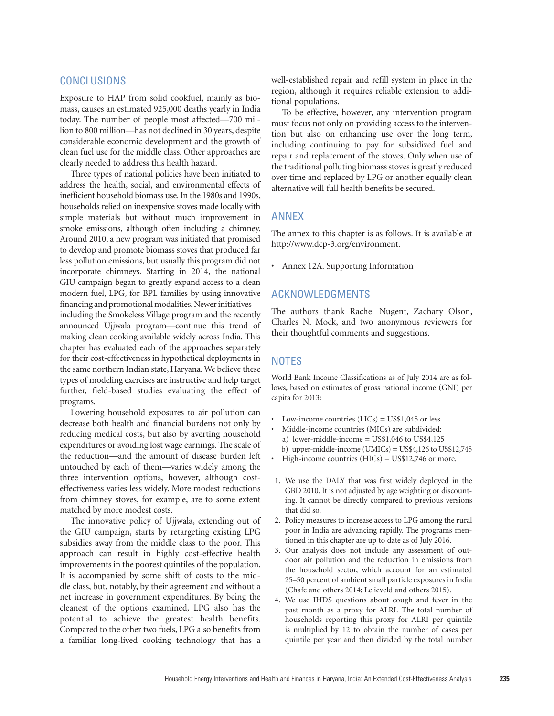## **CONCLUSIONS**

Exposure to HAP from solid cookfuel, mainly as biomass, causes an estimated 925,000 deaths yearly in India today. The number of people most affected—700 million to 800 million—has not declined in 30 years, despite considerable economic development and the growth of clean fuel use for the middle class. Other approaches are clearly needed to address this health hazard.

Three types of national policies have been initiated to address the health, social, and environmental effects of inefficient household biomass use. In the 1980s and 1990s, households relied on inexpensive stoves made locally with simple materials but without much improvement in smoke emissions, although often including a chimney. Around 2010, a new program was initiated that promised to develop and promote biomass stoves that produced far less pollution emissions, but usually this program did not incorporate chimneys. Starting in 2014, the national GIU campaign began to greatly expand access to a clean modern fuel, LPG, for BPL families by using innovative financing and promotional modalities. Newer initiatives including the Smokeless Village program and the recently announced Ujjwala program—continue this trend of making clean cooking available widely across India. This chapter has evaluated each of the approaches separately for their cost-effectiveness in hypothetical deployments in the same northern Indian state, Haryana. We believe these types of modeling exercises are instructive and help target further, field-based studies evaluating the effect of programs.

Lowering household exposures to air pollution can decrease both health and financial burdens not only by reducing medical costs, but also by averting household expenditures or avoiding lost wage earnings. The scale of the reduction—and the amount of disease burden left untouched by each of them—varies widely among the three intervention options, however, although costeffectiveness varies less widely. More modest reductions from chimney stoves, for example, are to some extent matched by more modest costs.

The innovative policy of Ujjwala, extending out of the GIU campaign, starts by retargeting existing LPG subsidies away from the middle class to the poor. This approach can result in highly cost-effective health improvements in the poorest quintiles of the population. It is accompanied by some shift of costs to the middle class, but, notably, by their agreement and without a net increase in government expenditures. By being the cleanest of the options examined, LPG also has the potential to achieve the greatest health benefits. Compared to the other two fuels, LPG also benefits from a familiar long-lived cooking technology that has a well-established repair and refill system in place in the region, although it requires reliable extension to additional populations.

To be effective, however, any intervention program must focus not only on providing access to the intervention but also on enhancing use over the long term, including continuing to pay for subsidized fuel and repair and replacement of the stoves. Only when use of the traditional polluting biomass stoves is greatly reduced over time and replaced by LPG or another equally clean alternative will full health benefits be secured.

## ANNEX

The annex to this chapter is as follows. It is available at [http://www.dcp-3.org/environment.](http://www.dcp-3.org/environment)

• Annex 12A. Supporting Information

## ACKNOWLEDGMENTS

The authors thank Rachel Nugent, Zachary Olson, Charles N. Mock, and two anonymous reviewers for their thoughtful comments and suggestions.

## **NOTES**

World Bank Income Classifications as of July 2014 are as follows, based on estimates of gross national income (GNI) per capita for 2013:

- Low-income countries  $(LICs) = US$1,045$  or less
- Middle-income countries (MICs) are subdivided: a) lower-middle-income  $=$  US\$1,046 to US\$4,125 b) upper-middle-income (UMICs) = US\$4,126 to US\$12,745
- High-income countries  $(HICs) = US$12,746$  or more.
- 
- 1. We use the DALY that was first widely deployed in the GBD 2010. It is not adjusted by age weighting or discounting. It cannot be directly compared to previous versions that did so.
- 2. Policy measures to increase access to LPG among the rural poor in India are advancing rapidly. The programs mentioned in this chapter are up to date as of July 2016.
- 3. Our analysis does not include any assessment of outdoor air pollution and the reduction in emissions from the household sector, which account for an estimated 25–50 percent of ambient small particle exposures in India (Chafe and others 2014; Lelieveld and others 2015).
- 4. We use IHDS questions about cough and fever in the past month as a proxy for ALRI. The total number of households reporting this proxy for ALRI per quintile is multiplied by 12 to obtain the number of cases per quintile per year and then divided by the total number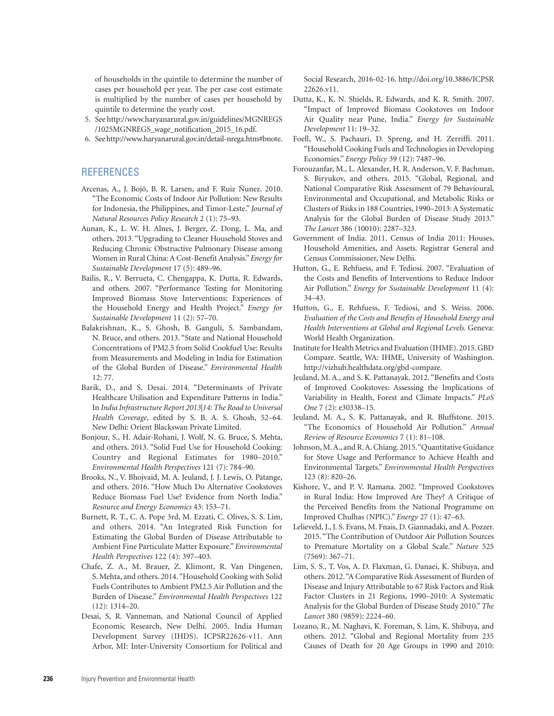of households in the quintile to determine the number of cases per household per year. The per case cost estimate is multiplied by the number of cases per household by quintile to determine the yearly cost.

- 5. See http://www.haryanarural.gov.in/guidelines/MGNREGS [/1025MGNREGS\\_wage\\_notification\\_2015\\_16 .pdf.](http://www.haryanarural.gov.in/guidelines/MGNREGS/1025MGNREGS_wage_notification_2015_16.pdf)
- 6. See [http://www.haryanarural.gov.in/detail-nrega .htm#bnote.](3http://www.haryanarural.gov.in/detail-nrega.htm#bnote)

#### REFERENCES

- Arcenas, A., J. Bojö, B. R. Larsen, and F. Ruiz Ñunez. 2010. "The Economic Costs of Indoor Air Pollution: New Results for Indonesia, the Philippines, and Timor-Leste." *Journal of Natural Resources Policy Research* 2 (1): 75–93.
- Aunan, K., L. W. H. Alnes, J. Berger, Z. Dong, L. Ma, and others. 2013. "Upgrading to Cleaner Household Stoves and Reducing Chronic Obstructive Pulmonary Disease among Women in Rural China: A Cost-Benefit Analysis." *Energy for Sustainable Development* 17 (5): 489–96.
- Bailis, R., V. Berrueta, C. Chengappa, K. Dutta, R. Edwards, and others. 2007. "Performance Testing for Monitoring Improved Biomass Stove Interventions: Experiences of the Household Energy and Health Project." *Energy for Sustainable Development* 11 (2): 57–70.
- Balakrishnan, K., S. Ghosh, B. Ganguli, S. Sambandam, N. Bruce, and others. 2013. "State and National Household Concentrations of PM2.5 from Solid Cookfuel Use: Results from Measurements and Modeling in India for Estimation of the Global Burden of Disease." *Environmental Health* 12: 77.
- Barik, D., and S. Desai. 2014. "Determinants of Private Healthcare Utilisation and Expenditure Patterns in India." In *India Infrastructure Report 2013|14: The Road to Universal Health Coverage*, edited by S. B. A. S. Ghosh, 52–64. New Delhi: Orient Blackswan Private Limited.
- Bonjour, S., H. Adair-Rohani, J. Wolf, N. G. Bruce, S. Mehta, and others. 2013. "Solid Fuel Use for Household Cooking: Country and Regional Estimates for 1980–2010." *Environmental Health Perspectives* 121 (7): 784–90.
- Brooks, N., V. Bhojvaid, M. A. Jeuland, J. J. Lewis, O. Patange, and others. 2016. "How Much Do Alternative Cookstoves Reduce Biomass Fuel Use? Evidence from North India." *Resource and Energy Economics* 43: 153–71.
- Burnett, R. T., C. A. Pope 3rd, M. Ezzati, C. Olives, S. S. Lim, and others. 2014. "An Integrated Risk Function for Estimating the Global Burden of Disease Attributable to Ambient Fine Particulate Matter Exposure." *Environmental Health Perspectives* 122 (4): 397–403.
- Chafe, Z. A., M. Brauer, Z. Klimont, R. Van Dingenen, S. Mehta, and others. 2014. "Household Cooking with Solid Fuels Contributes to Ambient PM2.5 Air Pollution and the Burden of Disease." *Environmental Health Perspectives* 122 (12): 1314–20.
- Desai, S, R. Vanneman, and National Council of Applied Economic Research, New Delhi. 2005. India Human Development Survey (IHDS). ICPSR22626-v11. Ann Arbor, MI: Inter-University Consortium for Political and

Social Research, 2016-02-16. [http://doi.org/10.3886/ICPSR](http://doi.org/10.3886/ICPSR22626.v11)  [22626 .v11.](http://doi.org/10.3886/ICPSR22626.v11)

- Dutta, K., K. N. Shields, R. Edwards, and K. R. Smith. 2007. "Impact of Improved Biomass Cookstoves on Indoor Air Quality near Pune, India." *Energy for Sustainable Development* 11: 19–32.
- Foell, W., S. Pachauri, D. Spreng, and H. Zerriffi. 2011. "Household Cooking Fuels and Technologies in Developing Economies." *Energy Policy* 39 (12): 7487–96.
- Forouzanfar, M., L. Alexander, H. R. Anderson, V. F. Bachman, S. Biryukov, and others. 2015. "Global, Regional, and National Comparative Risk Assessment of 79 Behavioural, Environmental and Occupational, and Metabolic Risks or Clusters of Risks in 188 Countries, 1990–2013: A Systematic Analysis for the Global Burden of Disease Study 2013." *The Lancet* 386 (10010): 2287–323.
- Government of India. 2011. Census of India 2011: Houses, Household Amenities, and Assets. Registrar General and Census Commissioner, New Delhi.
- Hutton, G., E. Rehfuess, and F. Tediosi. 2007. "Evaluation of the Costs and Benefits of Interventions to Reduce Indoor Air Pollution." *Energy for Sustainable Development* 11 (4): 34–43.
- Hutton, G., E. Rehfuess, F. Tediosi, and S. Weiss. 2006. *Evaluation of the Costs and Benefits of Household Energy and Health Interventions at Global and Regional Levels.* Geneva: World Health Organization.
- Institute for Health Metrics and Evaluation (IHME). 2015. GBD Compare. Seattle, WA: IHME, University of Washington. [http://vizhub.healthdata.org/gbd-compare.](http://vizhub.healthdata.org/gbd-compare)
- Jeuland, M. A., and S. K. Pattanayak. 2012. "Benefits and Costs of Improved Cookstoves: Assessing the Implications of Variability in Health, Forest and Climate Impacts." *PLoS One* 7 (2): e30338–15.
- Jeuland, M. A., S. K. Pattanayak, and R. Bluffstone. 2015. "The Economics of Household Air Pollution." *Annual Review of Resource Economics* 7 (1): 81–108.
- Johnson, M. A., and R. A. Chiang. 2015. "Quantitative Guidance for Stove Usage and Performance to Achieve Health and Environmental Targets." *Environmental Health Perspectives* 123 (8): 820–26.
- Kishore, V., and P. V. Ramana. 2002. "Improved Cookstoves in Rural India: How Improved Are They? A Critique of the Perceived Benefits from the National Programme on Improved Chulhas (NPIC)." *Energy* 27 (1): 47–63.
- Lelieveld, J., J. S. Evans, M. Fnais, D. Giannadaki, and A. Pozzer. 2015. "The Contribution of Outdoor Air Pollution Sources to Premature Mortality on a Global Scale." *Nature* 525 (7569): 367–71.
- Lim, S. S., T. Vos, A. D. Flaxman, G. Danaei, K. Shibuya, and others. 2012. "A Comparative Risk Assessment of Burden of Disease and Injury Attributable to 67 Risk Factors and Risk Factor Clusters in 21 Regions, 1990–2010: A Systematic Analysis for the Global Burden of Disease Study 2010." *The Lancet* 380 (9859): 2224–60.
- Lozano, R., M. Naghavi, K. Foreman, S. Lim, K. Shibuya, and others. 2012. "Global and Regional Mortality from 235 Causes of Death for 20 Age Groups in 1990 and 2010: